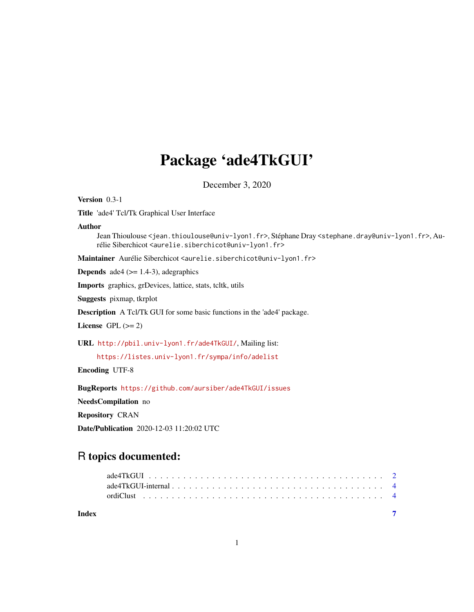## Package 'ade4TkGUI'

December 3, 2020

Version 0.3-1

Title 'ade4' Tcl/Tk Graphical User Interface

Author

Jean Thioulouse <jean.thioulouse@univ-lyon1.fr>, Stéphane Dray <stephane.dray@univ-lyon1.fr>, Aurélie Siberchicot <aurelie.siberchicot@univ-lyon1.fr>

Maintainer Aurélie Siberchicot <aurelie.siberchicot@univ-lyon1.fr>

**Depends** ade4  $(>= 1.4-3)$ , adegraphics

Imports graphics, grDevices, lattice, stats, tcltk, utils

Suggests pixmap, tkrplot

Description A Tcl/Tk GUI for some basic functions in the 'ade4' package.

License GPL  $(>= 2)$ 

URL <http://pbil.univ-lyon1.fr/ade4TkGUI/>, Mailing list:

<https://listes.univ-lyon1.fr/sympa/info/adelist>

Encoding UTF-8

BugReports <https://github.com/aursiber/ade4TkGUI/issues>

NeedsCompilation no

Repository CRAN

Date/Publication 2020-12-03 11:20:02 UTC

### R topics documented:

| Index |  |
|-------|--|
|       |  |
|       |  |
|       |  |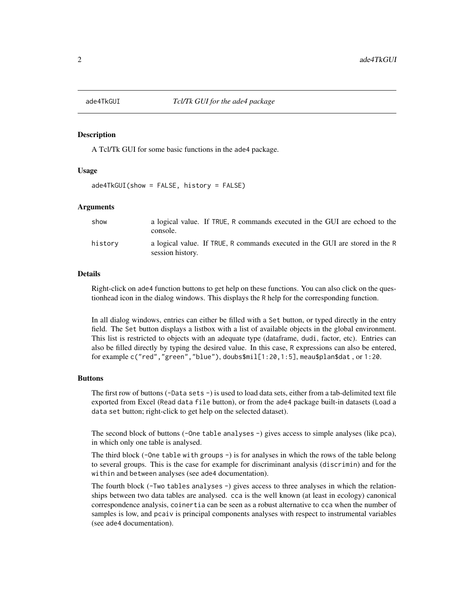<span id="page-1-0"></span>

#### Description

A Tcl/Tk GUI for some basic functions in the ade4 package.

#### Usage

 $ade4TkGUI(show = FALSE, history = FALSE)$ 

#### Arguments

| show    | console.         | a logical value. If TRUE, R commands executed in the GUI are echoed to the   |  |  |
|---------|------------------|------------------------------------------------------------------------------|--|--|
| historv | session history. | a logical value. If TRUE, R commands executed in the GUI are stored in the R |  |  |

#### Details

Right-click on ade4 function buttons to get help on these functions. You can also click on the questionhead icon in the dialog windows. This displays the R help for the corresponding function.

In all dialog windows, entries can either be filled with a Set button, or typed directly in the entry field. The Set button displays a listbox with a list of available objects in the global environment. This list is restricted to objects with an adequate type (dataframe, dudi, factor, etc). Entries can also be filled directly by typing the desired value. In this case, R expressions can also be entered, for example c("red","green","blue"), doubs\$mil[1:20,1:5], meau\$plan\$dat , or 1:20.

#### Buttons

The first row of buttons (-Data sets -) is used to load data sets, either from a tab-delimited text file exported from Excel (Read data file button), or from the ade4 package built-in datasets (Load a data set button; right-click to get help on the selected dataset).

The second block of buttons (-One table analyses -) gives access to simple analyses (like pca), in which only one table is analysed.

The third block (-One table with groups -) is for analyses in which the rows of the table belong to several groups. This is the case for example for discriminant analysis (discrimin) and for the within and between analyses (see ade4 documentation).

The fourth block (-Two tables analyses -) gives access to three analyses in which the relationships between two data tables are analysed. cca is the well known (at least in ecology) canonical correspondence analysis, coinertia can be seen as a robust alternative to cca when the number of samples is low, and pcaiv is principal components analyses with respect to instrumental variables (see ade4 documentation).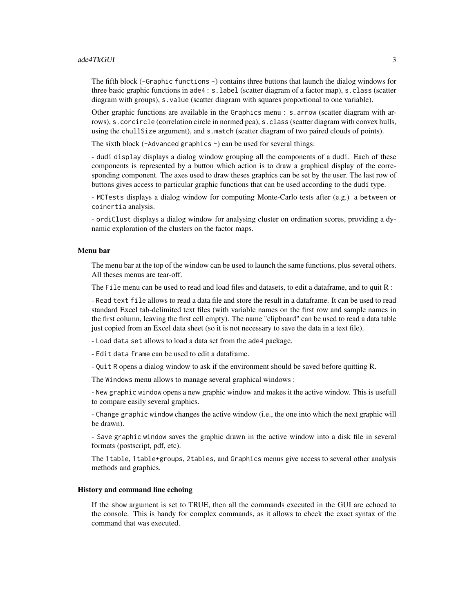#### ade4TkGUI 3

The fifth block (-Graphic functions -) contains three buttons that launch the dialog windows for three basic graphic functions in ade4 : s.label (scatter diagram of a factor map), s.class (scatter diagram with groups), s.value (scatter diagram with squares proportional to one variable).

Other graphic functions are available in the Graphics menu : s.arrow (scatter diagram with arrows), s.corcircle (correlation circle in normed pca), s.class (scatter diagram with convex hulls, using the chullSize argument), and s.match (scatter diagram of two paired clouds of points).

The sixth block (-Advanced graphics -) can be used for several things:

- dudi display displays a dialog window grouping all the components of a dudi. Each of these components is represented by a button which action is to draw a graphical display of the corresponding component. The axes used to draw theses graphics can be set by the user. The last row of buttons gives access to particular graphic functions that can be used according to the dudi type.

- MCTests displays a dialog window for computing Monte-Carlo tests after (e.g.) a between or coinertia analysis.

- ordiClust displays a dialog window for analysing cluster on ordination scores, providing a dynamic exploration of the clusters on the factor maps.

#### Menu bar

The menu bar at the top of the window can be used to launch the same functions, plus several others. All theses menus are tear-off.

The File menu can be used to read and load files and datasets, to edit a dataframe, and to quit R :

- Read text file allows to read a data file and store the result in a dataframe. It can be used to read standard Excel tab-delimited text files (with variable names on the first row and sample names in the first column, leaving the first cell empty). The name "clipboard" can be used to read a data table just copied from an Excel data sheet (so it is not necessary to save the data in a text file).

- Load data set allows to load a data set from the ade4 package.

- Edit data frame can be used to edit a dataframe.

- Quit R opens a dialog window to ask if the environment should be saved before quitting R.

The Windows menu allows to manage several graphical windows :

- New graphic window opens a new graphic window and makes it the active window. This is usefull to compare easily several graphics.

- Change graphic window changes the active window (i.e., the one into which the next graphic will be drawn).

- Save graphic window saves the graphic drawn in the active window into a disk file in several formats (postscript, pdf, etc).

The 1table, 1table+groups, 2tables, and Graphics menus give access to several other analysis methods and graphics.

#### History and command line echoing

If the show argument is set to TRUE, then all the commands executed in the GUI are echoed to the console. This is handy for complex commands, as it allows to check the exact syntax of the command that was executed.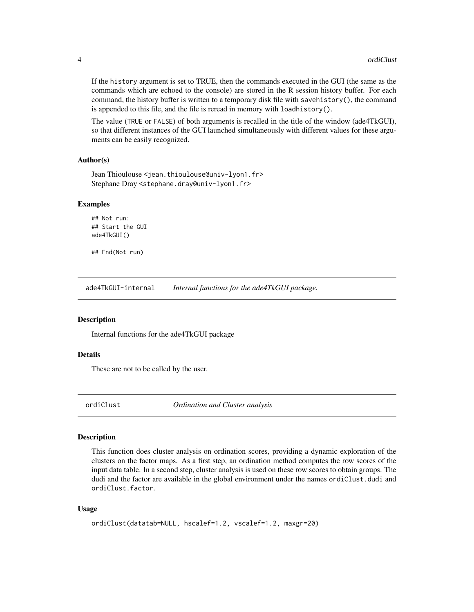If the history argument is set to TRUE, then the commands executed in the GUI (the same as the commands which are echoed to the console) are stored in the R session history buffer. For each command, the history buffer is written to a temporary disk file with savehistory(), the command is appended to this file, and the file is reread in memory with loadhistory().

The value (TRUE or FALSE) of both arguments is recalled in the title of the window (ade4TkGUI), so that different instances of the GUI launched simultaneously with different values for these arguments can be easily recognized.

#### Author(s)

```
Jean Thioulouse <jean.thioulouse@univ-lyon1.fr>
Stephane Dray <stephane.dray@univ-lyon1.fr>
```
#### Examples

```
## Not run:
## Start the GUI
ade4TkGUI()
```
## End(Not run)

ade4TkGUI-internal *Internal functions for the ade4TkGUI package.*

#### **Description**

Internal functions for the ade4TkGUI package

#### Details

These are not to be called by the user.

ordiClust *Ordination and Cluster analysis*

#### Description

This function does cluster analysis on ordination scores, providing a dynamic exploration of the clusters on the factor maps. As a first step, an ordination method computes the row scores of the input data table. In a second step, cluster analysis is used on these row scores to obtain groups. The dudi and the factor are available in the global environment under the names ordiClust.dudi and ordiClust.factor.

#### Usage

```
ordiClust(datatab=NULL, hscalef=1.2, vscalef=1.2, maxgr=20)
```
<span id="page-3-0"></span>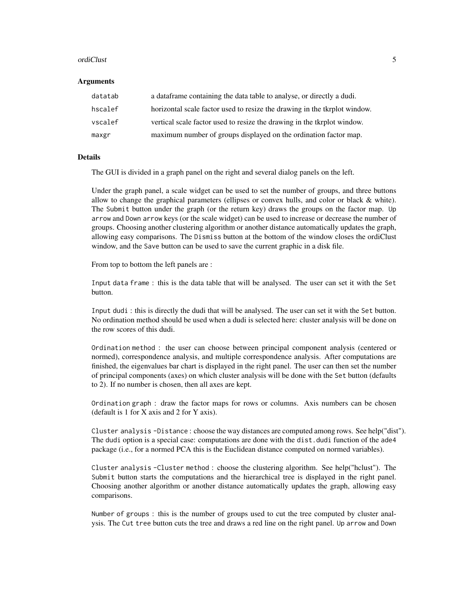#### ordiClust 5

#### **Arguments**

| datatab | a data frame containing the data table to analyse, or directly a dudi.    |
|---------|---------------------------------------------------------------------------|
| hscalef | horizontal scale factor used to resize the drawing in the tkrplot window. |
| vscalef | vertical scale factor used to resize the drawing in the tkrplot window.   |
| maxgr   | maximum number of groups displayed on the ordination factor map.          |

#### Details

The GUI is divided in a graph panel on the right and several dialog panels on the left.

Under the graph panel, a scale widget can be used to set the number of groups, and three buttons allow to change the graphical parameters (ellipses or convex hulls, and color or black & white). The Submit button under the graph (or the return key) draws the groups on the factor map. Up arrow and Down arrow keys (or the scale widget) can be used to increase or decrease the number of groups. Choosing another clustering algorithm or another distance automatically updates the graph, allowing easy comparisons. The Dismiss button at the bottom of the window closes the ordiClust window, and the Save button can be used to save the current graphic in a disk file.

From top to bottom the left panels are :

Input data frame : this is the data table that will be analysed. The user can set it with the Set button.

Input dudi : this is directly the dudi that will be analysed. The user can set it with the Set button. No ordination method should be used when a dudi is selected here: cluster analysis will be done on the row scores of this dudi.

Ordination method : the user can choose between principal component analysis (centered or normed), correspondence analysis, and multiple correspondence analysis. After computations are finished, the eigenvalues bar chart is displayed in the right panel. The user can then set the number of principal components (axes) on which cluster analysis will be done with the Set button (defaults to 2). If no number is chosen, then all axes are kept.

Ordination graph : draw the factor maps for rows or columns. Axis numbers can be chosen (default is 1 for X axis and 2 for Y axis).

Cluster analysis -Distance : choose the way distances are computed among rows. See help("dist"). The dudi option is a special case: computations are done with the dist.dudi function of the ade4 package (i.e., for a normed PCA this is the Euclidean distance computed on normed variables).

Cluster analysis -Cluster method : choose the clustering algorithm. See help("hclust"). The Submit button starts the computations and the hierarchical tree is displayed in the right panel. Choosing another algorithm or another distance automatically updates the graph, allowing easy comparisons.

Number of groups : this is the number of groups used to cut the tree computed by cluster analysis. The Cut tree button cuts the tree and draws a red line on the right panel. Up arrow and Down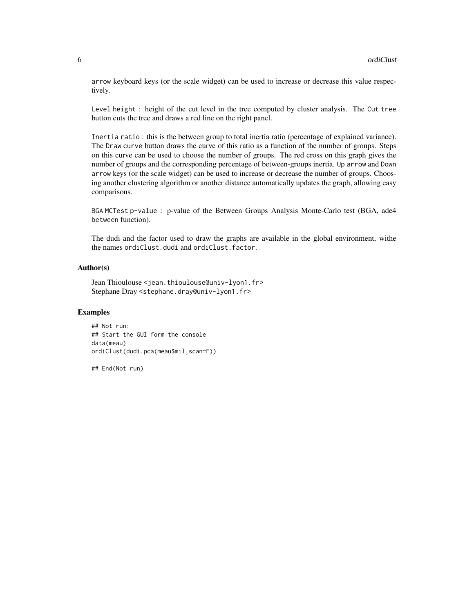arrow keyboard keys (or the scale widget) can be used to increase or decrease this value respectively.

Level height : height of the cut level in the tree computed by cluster analysis. The Cut tree button cuts the tree and draws a red line on the right panel.

Inertia ratio : this is the between group to total inertia ratio (percentage of explained variance). The Draw curve button draws the curve of this ratio as a function of the number of groups. Steps on this curve can be used to choose the number of groups. The red cross on this graph gives the number of groups and the corresponding percentage of between-groups inertia. Up arrow and Down arrow keys (or the scale widget) can be used to increase or decrease the number of groups. Choosing another clustering algorithm or another distance automatically updates the graph, allowing easy comparisons.

BGA MCTest p-value : p-value of the Between Groups Analysis Monte-Carlo test (BGA, ade4 between function).

The dudi and the factor used to draw the graphs are available in the global environment, withe the names ordiClust.dudi and ordiClust.factor.

#### Author(s)

Jean Thioulouse <jean.thioulouse@univ-lyon1.fr> Stephane Dray <stephane.dray@univ-lyon1.fr>

#### Examples

## Not run: ## Start the GUI form the console data(meau) ordiClust(dudi.pca(meau\$mil,scan=F))

## End(Not run)